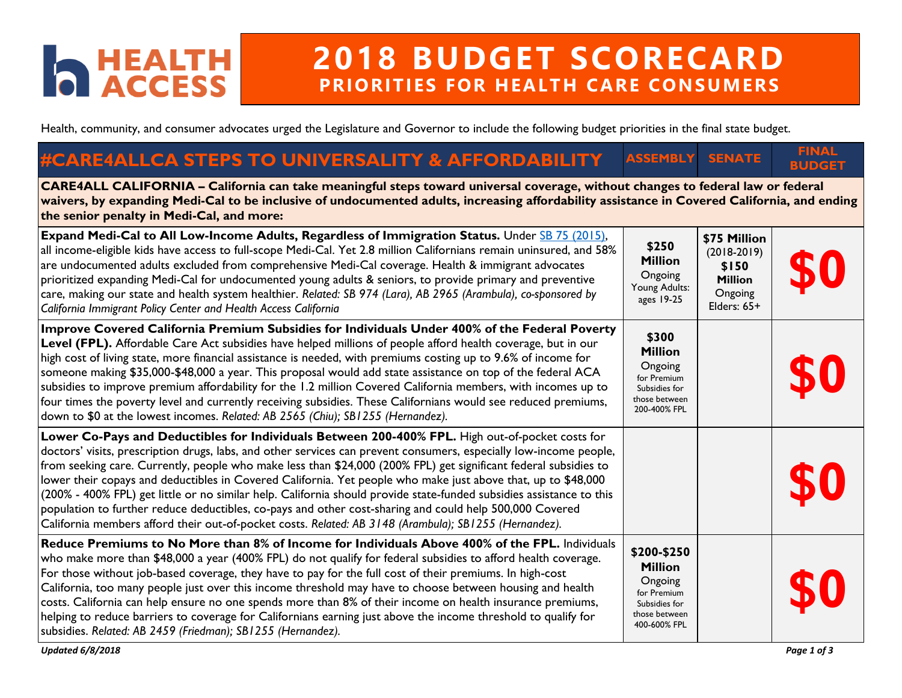## **D** HEALTH

## **2018 BUDGET SCORECARD PRIORITIES FOR HEALTH CARE CONSUMERS**

Health, community, and consumer advocates urged the Legislature and Governor to include the following budget priorities in the final state budget.

## **#CARE4ALLCA STEPS TO UNIVERSALITY & AFFORDABILITY ASSEMBLY SENATE FINAL BUDGET**

**CARE4ALL CALIFORNIA – California can take meaningful steps toward universal coverage, without changes to federal law or federal waivers, by expanding Medi-Cal to be inclusive of undocumented adults, increasing affordability assistance in Covered California, and ending the senior penalty in Medi-Cal, and more:** 

| Expand Medi-Cal to All Low-Income Adults, Regardless of Immigration Status. Under SB 75 (2015),<br>all income-eligible kids have access to full-scope Medi-Cal. Yet 2.8 million Californians remain uninsured, and 58%<br>are undocumented adults excluded from comprehensive Medi-Cal coverage. Health & immigrant advocates<br>prioritized expanding Medi-Cal for undocumented young adults & seniors, to provide primary and preventive<br>care, making our state and health system healthier. Related: SB 974 (Lara), AB 2965 (Arambula), co-sponsored by<br>California Immigrant Policy Center and Health Access California                                                                                                                                                                        | \$250<br><b>Million</b><br>Ongoing<br>Young Adults:<br>ages 19-25                                         | \$75 Million<br>$(2018-2019)$<br>\$150<br><b>Million</b><br>Ongoing<br>Elders: 65+ | \$0 |
|---------------------------------------------------------------------------------------------------------------------------------------------------------------------------------------------------------------------------------------------------------------------------------------------------------------------------------------------------------------------------------------------------------------------------------------------------------------------------------------------------------------------------------------------------------------------------------------------------------------------------------------------------------------------------------------------------------------------------------------------------------------------------------------------------------|-----------------------------------------------------------------------------------------------------------|------------------------------------------------------------------------------------|-----|
| Improve Covered California Premium Subsidies for Individuals Under 400% of the Federal Poverty<br>Level (FPL). Affordable Care Act subsidies have helped millions of people afford health coverage, but in our<br>high cost of living state, more financial assistance is needed, with premiums costing up to 9.6% of income for<br>someone making \$35,000-\$48,000 a year. This proposal would add state assistance on top of the federal ACA<br>subsidies to improve premium affordability for the 1.2 million Covered California members, with incomes up to<br>four times the poverty level and currently receiving subsidies. These Californians would see reduced premiums,<br>down to \$0 at the lowest incomes. Related: AB 2565 (Chiu); SB1255 (Hernandez).                                   | \$300<br><b>Million</b><br>Ongoing<br>for Premium<br>Subsidies for<br>those between<br>200-400% FPL       |                                                                                    | \$0 |
| Lower Co-Pays and Deductibles for Individuals Between 200-400% FPL. High out-of-pocket costs for<br>doctors' visits, prescription drugs, labs, and other services can prevent consumers, especially low-income people,<br>from seeking care. Currently, people who make less than \$24,000 (200% FPL) get significant federal subsidies to<br>lower their copays and deductibles in Covered California. Yet people who make just above that, up to \$48,000<br>(200% - 400% FPL) get little or no similar help. California should provide state-funded subsidies assistance to this<br>population to further reduce deductibles, co-pays and other cost-sharing and could help 500,000 Covered<br>California members afford their out-of-pocket costs. Related: AB 3148 (Arambula); SB1255 (Hernandez). |                                                                                                           |                                                                                    | \$0 |
| Reduce Premiums to No More than 8% of Income for Individuals Above 400% of the FPL. Individuals<br>who make more than \$48,000 a year (400% FPL) do not qualify for federal subsidies to afford health coverage.<br>For those without job-based coverage, they have to pay for the full cost of their premiums. In high-cost<br>California, too many people just over this income threshold may have to choose between housing and health<br>costs. California can help ensure no one spends more than 8% of their income on health insurance premiums,<br>helping to reduce barriers to coverage for Californians earning just above the income threshold to qualify for<br>subsidies. Related: AB 2459 (Friedman); SB1255 (Hernandez).                                                                | \$200-\$250<br><b>Million</b><br>Ongoing<br>for Premium<br>Subsidies for<br>those between<br>400-600% FPL |                                                                                    | \$0 |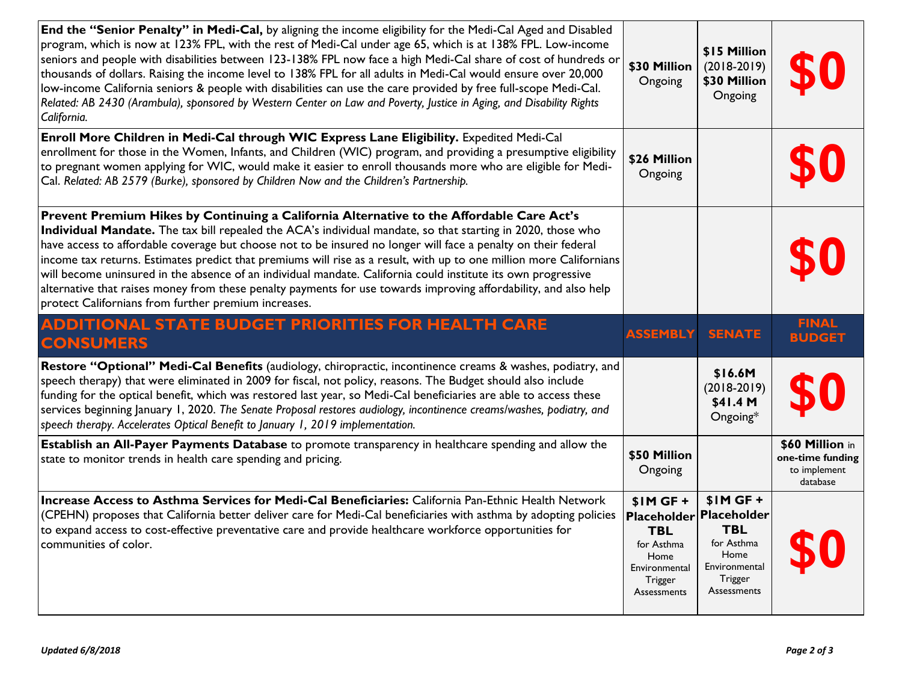| End the "Senior Penalty" in Medi-Cal, by aligning the income eligibility for the Medi-Cal Aged and Disabled<br>program, which is now at 123% FPL, with the rest of Medi-Cal under age 65, which is at 138% FPL. Low-income<br>seniors and people with disabilities between 123-138% FPL now face a high Medi-Cal share of cost of hundreds or<br>thousands of dollars. Raising the income level to 138% FPL for all adults in Medi-Cal would ensure over 20,000<br>low-income California seniors & people with disabilities can use the care provided by free full-scope Medi-Cal.<br>Related: AB 2430 (Arambula), sponsored by Western Center on Law and Poverty, Justice in Aging, and Disability Rights<br>California.                      | \$30 Million<br>Ongoing | \$15 Million<br>$(2018-2019)$<br>\$30 Million<br>Ongoing |                                                                 |
|------------------------------------------------------------------------------------------------------------------------------------------------------------------------------------------------------------------------------------------------------------------------------------------------------------------------------------------------------------------------------------------------------------------------------------------------------------------------------------------------------------------------------------------------------------------------------------------------------------------------------------------------------------------------------------------------------------------------------------------------|-------------------------|----------------------------------------------------------|-----------------------------------------------------------------|
| Enroll More Children in Medi-Cal through WIC Express Lane Eligibility. Expedited Medi-Cal<br>enrollment for those in the Women, Infants, and Children (WIC) program, and providing a presumptive eligibility<br>to pregnant women applying for WIC, would make it easier to enroll thousands more who are eligible for Medi-<br>Cal. Related: AB 2579 (Burke), sponsored by Children Now and the Children's Partnership.                                                                                                                                                                                                                                                                                                                       | \$26 Million<br>Ongoing |                                                          |                                                                 |
| Prevent Premium Hikes by Continuing a California Alternative to the Affordable Care Act's<br>Individual Mandate. The tax bill repealed the ACA's individual mandate, so that starting in 2020, those who<br>have access to affordable coverage but choose not to be insured no longer will face a penalty on their federal<br>income tax returns. Estimates predict that premiums will rise as a result, with up to one million more Californians<br>will become uninsured in the absence of an individual mandate. California could institute its own progressive<br>alternative that raises money from these penalty payments for use towards improving affordability, and also help<br>protect Californians from further premium increases. |                         |                                                          |                                                                 |
| <b>ADDITIONAL STATE BUDGET PRIORITIES FOR HEALTH CARE</b><br><b>CONSUMERS</b>                                                                                                                                                                                                                                                                                                                                                                                                                                                                                                                                                                                                                                                                  | <b>ASSEMBLY</b>         | <b>SENATE</b>                                            | <b>FINAL</b><br><b>BUDGET</b>                                   |
| Restore "Optional" Medi-Cal Benefits (audiology, chiropractic, incontinence creams & washes, podiatry, and<br>speech therapy) that were eliminated in 2009 for fiscal, not policy, reasons. The Budget should also include<br>funding for the optical benefit, which was restored last year, so Medi-Cal beneficiaries are able to access these<br>services beginning January 1, 2020. The Senate Proposal restores audiology, incontinence creams/washes, podiatry, and<br>speech therapy. Accelerates Optical Benefit to January 1, 2019 implementation.                                                                                                                                                                                     |                         | \$16.6M<br>$(2018-2019)$<br>\$41.4 M<br>Ongoing*         |                                                                 |
| Establish an All-Payer Payments Database to promote transparency in healthcare spending and allow the<br>state to monitor trends in health care spending and pricing.                                                                                                                                                                                                                                                                                                                                                                                                                                                                                                                                                                          | \$50 Million<br>Ongoing |                                                          | \$60 Million in<br>one-time funding<br>to implement<br>database |
|                                                                                                                                                                                                                                                                                                                                                                                                                                                                                                                                                                                                                                                                                                                                                |                         |                                                          |                                                                 |